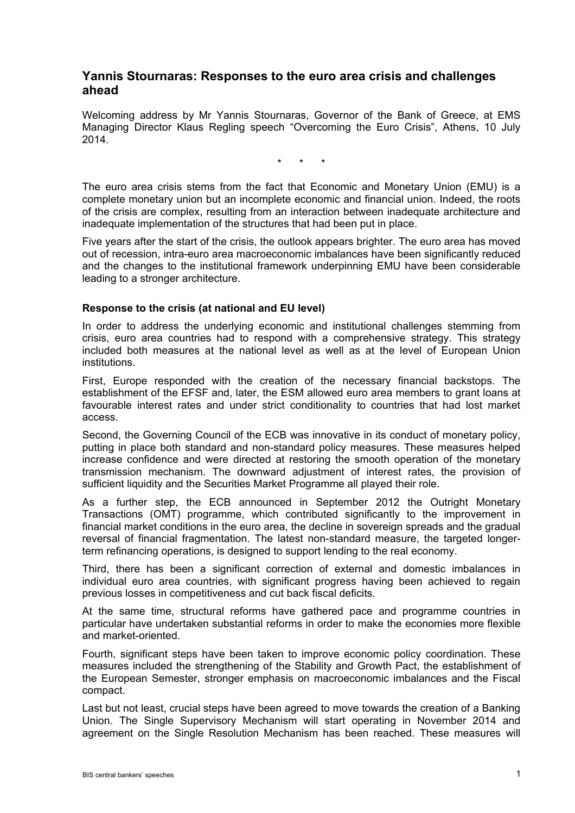## **Yannis Stournaras: Responses to the euro area crisis and challenges ahead**

Welcoming address by Mr Yannis Stournaras, Governor of the Bank of Greece, at EMS Managing Director Klaus Regling speech "Overcoming the Euro Crisis", Athens, 10 July 2014.

\* \* \*

The euro area crisis stems from the fact that Economic and Monetary Union (EMU) is a complete monetary union but an incomplete economic and financial union. Indeed, the roots of the crisis are complex, resulting from an interaction between inadequate architecture and inadequate implementation of the structures that had been put in place.

Five years after the start of the crisis, the outlook appears brighter. The euro area has moved out of recession, intra-euro area macroeconomic imbalances have been significantly reduced and the changes to the institutional framework underpinning EMU have been considerable leading to a stronger architecture.

## **Response to the crisis (at national and EU level)**

In order to address the underlying economic and institutional challenges stemming from crisis, euro area countries had to respond with a comprehensive strategy. This strategy included both measures at the national level as well as at the level of European Union institutions.

First, Europe responded with the creation of the necessary financial backstops. The establishment of the EFSF and, later, the ESM allowed euro area members to grant loans at favourable interest rates and under strict conditionality to countries that had lost market access.

Second, the Governing Council of the ECB was innovative in its conduct of monetary policy, putting in place both standard and non-standard policy measures. These measures helped increase confidence and were directed at restoring the smooth operation of the monetary transmission mechanism. The downward adjustment of interest rates, the provision of sufficient liquidity and the Securities Market Programme all played their role.

As a further step, the ECB announced in September 2012 the Outright Monetary Transactions (OMT) programme, which contributed significantly to the improvement in financial market conditions in the euro area, the decline in sovereign spreads and the gradual reversal of financial fragmentation. The latest non-standard measure, the targeted longerterm refinancing operations, is designed to support lending to the real economy.

Third, there has been a significant correction of external and domestic imbalances in individual euro area countries, with significant progress having been achieved to regain previous losses in competitiveness and cut back fiscal deficits.

At the same time, structural reforms have gathered pace and programme countries in particular have undertaken substantial reforms in order to make the economies more flexible and market-oriented.

Fourth, significant steps have been taken to improve economic policy coordination. These measures included the strengthening of the Stability and Growth Pact, the establishment of the European Semester, stronger emphasis on macroeconomic imbalances and the Fiscal compact.

Last but not least, crucial steps have been agreed to move towards the creation of a Banking Union. The Single Supervisory Mechanism will start operating in November 2014 and agreement on the Single Resolution Mechanism has been reached. These measures will